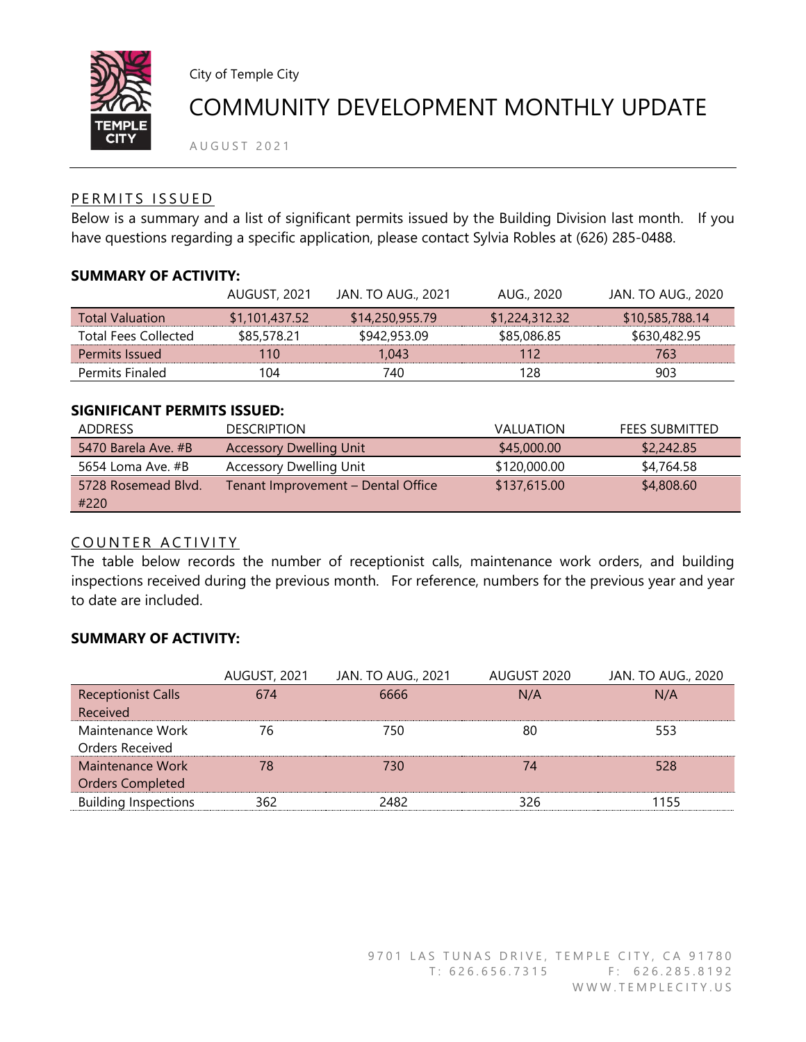

City of Temple City

# COMMUNITY DEVELOPMENT MONTHLY UPDATE

A U G U S T 2021

### PERMITS ISSUED

Below is a summary and a list of significant permits issued by the Building Division last month. If you have questions regarding a specific application, please contact Sylvia Robles at (626) 285-0488.

#### **SUMMARY OF ACTIVITY:**

|                             | AUGUST, 2021   | <b>JAN. TO AUG., 2021</b> | AUG., 2020     | <b>JAN. TO AUG., 2020</b> |
|-----------------------------|----------------|---------------------------|----------------|---------------------------|
| <b>Total Valuation</b>      | \$1,101,437.52 | \$14,250,955.79           | \$1,224,312.32 | \$10,585,788.14           |
| <b>Total Fees Collected</b> | \$85,578.21    | \$942,953.09              | \$85,086.85    | \$630,482.95              |
| Permits Issued              | 110            | 1.043                     | 112            | 763                       |
| <b>Permits Finaled</b>      | 104            | 740                       | 128            | 903                       |

#### **SIGNIFICANT PERMITS ISSUED:**

| <b>ADDRESS</b>      | <b>DESCRIPTION</b>                 | <b>VALUATION</b> | FEES SUBMITTED |
|---------------------|------------------------------------|------------------|----------------|
| 5470 Barela Ave. #B | <b>Accessory Dwelling Unit</b>     | \$45,000.00      | \$2,242.85     |
| 5654 Loma Ave. #B   | Accessory Dwelling Unit            | \$120,000.00     | \$4,764.58     |
| 5728 Rosemead Blvd. | Tenant Improvement - Dental Office | \$137,615.00     | \$4,808.60     |
| #220                |                                    |                  |                |

## COUNTER ACTIVITY

The table below records the number of receptionist calls, maintenance work orders, and building inspections received during the previous month. For reference, numbers for the previous year and year to date are included.

### **SUMMARY OF ACTIVITY:**

|                             | <b>AUGUST, 2021</b> | <b>JAN. TO AUG., 2021</b> | AUGUST 2020 | <b>JAN. TO AUG., 2020</b> |
|-----------------------------|---------------------|---------------------------|-------------|---------------------------|
| <b>Receptionist Calls</b>   | 674                 | 6666                      | N/A         | N/A                       |
| Received                    |                     |                           |             |                           |
| Maintenance Work            | 76                  | 750                       | 80          | 553                       |
| Orders Received             |                     |                           |             |                           |
| Maintenance Work            | 78                  | 730                       | 74          | 528                       |
| <b>Orders Completed</b>     |                     |                           |             |                           |
| <b>Building Inspections</b> | 362                 | 2482                      | 326         | 1155                      |